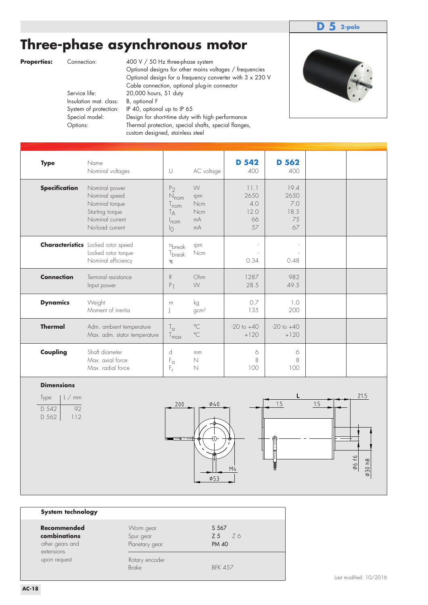### **D 5 2-pole**

# **Three-phase asynchronous motor**

**Properties:** Connection: 400 V / 50 Hz three-phase system

 Optional designs for other mains voltages / frequencies Optional design for a frequency converter with 3 x 230 V Cable connection, optional plug-in connector<br>Service life: 20,000 hours, S1 duty 20,000 hours, S1 duty Insulation mat. class: B, optional F System of protection: IP 40, optional up to IP 65 Special model: Design for short-time duty with high performance Options: Thermal protection, special shafts, special flanges, custom designed, stainless steel



| <b>Type</b>          | Name<br>Nominal voltages                                                                                  | $\cup$                                                                              | AC voltage                                | <b>D 542</b><br>400                     | D 562<br>400                            |  |
|----------------------|-----------------------------------------------------------------------------------------------------------|-------------------------------------------------------------------------------------|-------------------------------------------|-----------------------------------------|-----------------------------------------|--|
| <b>Specification</b> | Nominal power<br>Nominal speed<br>Nominal torque<br>Starting torque<br>Nominal current<br>No-load current | P <sub>2</sub><br>$N_{nom}$<br>$\frac{1}{2}$ nom<br>Tд<br>$ln$ cm<br>$\overline{1}$ | W<br>rpm<br><b>Ncm</b><br>Ncm<br>mA<br>mA | 11.1<br>2650<br>4.0<br>12.0<br>66<br>57 | 19.4<br>2650<br>7.0<br>18.5<br>75<br>67 |  |
|                      | <b>Characteristics</b> Locked rotor speed<br>Locked rotor torque<br>Nominal efficiency                    | nbreak<br>T <sub>break</sub><br>η                                                   | rpm<br>Ncm                                | 0.34                                    | 0.48                                    |  |
| <b>Connection</b>    | Terminal resistance<br>Input power                                                                        | R<br>P <sub>1</sub>                                                                 | Ohm<br>W                                  | 1287<br>28.5                            | 982<br>49.5                             |  |
| <b>Dynamics</b>      | Weight<br>Moment of inertia                                                                               | m<br>J                                                                              | kg<br>gcm <sup>2</sup>                    | 0.7<br>135                              | 1.0<br>200                              |  |
| <b>Thermal</b>       | Adm. ambient temperature<br>Max. adm. stator temperature                                                  | $T_{\alpha}$<br>T <sub>max</sub>                                                    | $^{\circ}$ C<br>$^{\circ}$ C              | $-20$ to $+40$<br>$+120$                | $-20$ to $+40$<br>$+120$                |  |
| Coupling             | Shaft diameter<br>Max. axial force<br>Max. radial force                                                   | d<br>$\mathsf{F}_{\square}$<br>$F_r$                                                | mm<br>$\mathbb N$<br>N                    | 6<br>8<br>100                           | 6<br>8<br>100                           |  |

#### **Dimensions**

| lype  | $l$ / mm        |
|-------|-----------------|
| D 542 | 92              |
| D 562 | $\vert \vert$ 2 |



| System technology                                            |                                          |                                    |
|--------------------------------------------------------------|------------------------------------------|------------------------------------|
| Recommended<br>combinations<br>other gears and<br>extensions | Worm gear<br>Spur gear<br>Planetary gear | S 567<br>Z 5<br>76<br><b>PM 40</b> |
| upon request                                                 | Rotary encoder<br><b>Brake</b>           | <b>BFK 457</b>                     |